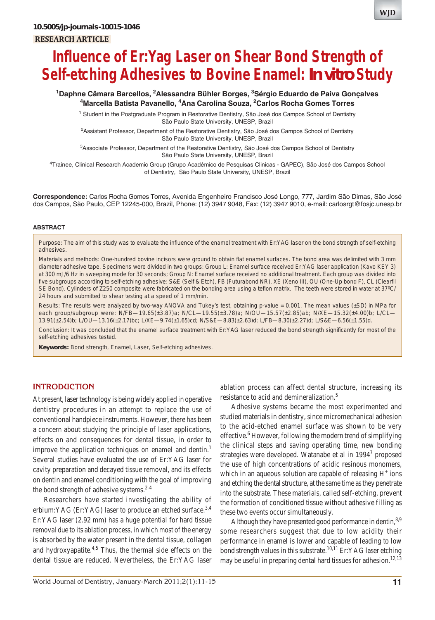#### *Influence of Er:Yag Laser on Shear Bond Strength of Self-etching Adhesives to Bovine Enamel: In vitro Study* **RESEARCH ARTICLE**

# **Influence of Er:Yag Laser on Shear Bond Strength of Self-etching Adhesives to Bovine Enamel:** *In vitro* **Study**

### <sup>1</sup>Daphne Câmara Barcellos, <sup>2</sup>Alessandra Bühler Borges, <sup>3</sup>Sérgio Eduardo de Paiva Gonçalves **4 Marcella Batista Pavanello, 4 Ana Carolina Souza, 2 Carlos Rocha Gomes Torres**

<sup>1</sup> Student in the Postgraduate Program in Restorative Dentistry, São José dos Campos School of Dentistry São Paulo State University, UNESP, Brazil

<sup>2</sup>Assistant Professor, Department of the Restorative Dentistry, São José dos Campos School of Dentistry São Paulo State University, UNESP, Brazil

3 Associate Professor, Department of the Restorative Dentistry, São José dos Campos School of Dentistry São Paulo State University, UNESP, Brazil

4 Trainee, Clinical Research Academic Group (Grupo Acadêmico de Pesquisas Clinicas - GAPEC), São José dos Campos School of Dentistry, São Paulo State University, UNESP, Brazil

**Correspondence:** Carlos Rocha Gomes Torres, Avenida Engenheiro Francisco José Longo, 777, Jardim São Dimas, São José dos Campos, São Paulo, CEP 12245-000, Brazil, Phone: (12) 3947 9048, Fax: (12) 3947 9010, e-mail: carlosrgt@fosjc.unesp.br

#### **ABSTRACT**

*Purpose*: The aim of this study was to evaluate the influence of the enamel treatment with Er:YAG laser on the bond strength of self-etching adhesives.

*Materials and methods*: One-hundred bovine incisors were ground to obtain flat enamel surfaces. The bond area was delimited with 3 mm diameter adhesive tape. Specimens were divided in two groups: Group L: Enamel surface received Er:YAG laser application (Kavo KEY 3) at 300 mJ/6 Hz in sweeping mode for 30 seconds; Group N: Enamel surface received no additional treatment. Each group was divided into five subgroups according to self-etching adhesive: S&E (Self & Etch), FB (Futurabond NR), XE (Xeno III), OU (One-Up bond F), CL (Clearfil SE Bond). Cylinders of Z250 composite were fabricated on the bonding area using a teflon matrix. The teeth were stored in water at 37ºC/ 24 hours and submitted to shear testing at a speed of 1 mm/min.

*Results*: The results were analyzed by two-way ANOVA and Tukey's test, obtaining p-value = 0.001. The mean values (±SD) in MPa for each group/subgroup were: N/FB—19.65(±3.87)a; N/CL—19.55(±3.78)a; N/OU—15.57(±2.85)ab; N/XE—15.32(±4.00)b; L/CL— 13.91(±2.54)b; L/OU—13.16(±2.17)bc; L/XE—9.74(±1.65)cd; N/S&E—8.83(±2.63)d; L/FB—8.30(±2.27)d; L/S&E—6.56(±1.55)d.

*Conclusion*: It was concluded that the enamel surface treatment with Er:YAG laser reduced the bond strength significantly for most of the self-etching adhesives tested.

**Keywords:** Bond strength, Enamel, Laser, Self-etching adhesives.

## **INTRODUCTION**

At present, laser technology is being widely applied in operative dentistry procedures in an attempt to replace the use of conventional handpiece instruments. However, there has been a concern about studying the principle of laser applications, effects on and consequences for dental tissue, in order to improve the application techniques on enamel and dentin.<sup>1</sup> Several studies have evaluated the use of Er:YAG laser for cavity preparation and decayed tissue removal, and its effects on dentin and enamel conditioning with the goal of improving the bond strength of adhesive systems. $2-4$ 

Researchers have started investigating the ability of erbium: YAG (Er: YAG) laser to produce an etched surface.<sup>3,4</sup> Er:YAG laser (2.92 mm) has a huge potential for hard tissue removal due to its ablation process, in which most of the energy is absorbed by the water present in the dental tissue, collagen and hydroxyapatite.<sup>4,5</sup> Thus, the thermal side effects on the dental tissue are reduced. Nevertheless, the Er:YAG laser

ablation process can affect dental structure, increasing its resistance to acid and demineralization.<sup>5</sup>

Adhesive systems became the most experimented and studied materials in dentistry, since micromechanical adhesion to the acid-etched enamel surface was shown to be very effective.<sup>6</sup> However, following the modern trend of simplifying the clinical steps and saving operating time, new bonding strategies were developed. Watanabe et al in 1994<sup>7</sup> proposed the use of high concentrations of acidic resinous monomers, which in an aqueous solution are capable of releasing  $H^+$  ions and etching the dental structure, at the same time as they penetrate into the substrate. These materials, called self-etching, prevent the formation of conditioned tissue without adhesive filling as these two events occur simultaneously.

Although they have presented good performance in dentin, 8,9 some researchers suggest that due to low acidity their performance in enamel is lower and capable of leading to low bond strength values in this substrate.<sup>10,11</sup> Er:YAG laser etching may be useful in preparing dental hard tissues for adhesion.<sup>12,13</sup>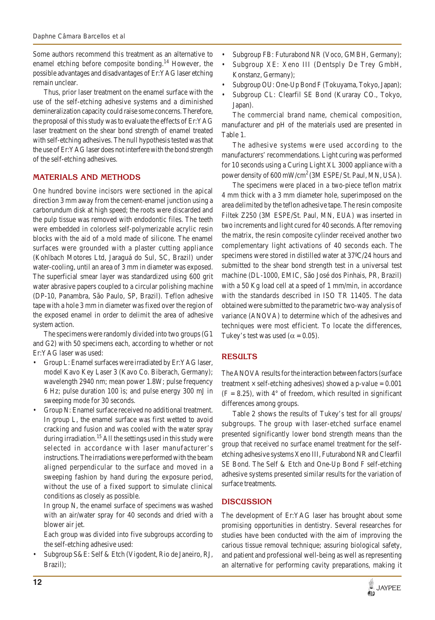Some authors recommend this treatment as an alternative to enamel etching before composite bonding.<sup>14</sup> However, the possible advantages and disadvantages of Er:YAG laser etching remain unclear.

Thus, prior laser treatment on the enamel surface with the use of the self-etching adhesive systems and a diminished demineralization capacity could raise some concerns. Therefore, the proposal of this study was to evaluate the effects of Er:YAG laser treatment on the shear bond strength of enamel treated with self-etching adhesives. The null hypothesis tested was that the use of Er:YAG laser does not interfere with the bond strength of the self-etching adhesives.

#### **MATERIALS AND METHODS**

One hundred bovine incisors were sectioned in the apical direction 3 mm away from the cement-enamel junction using a carborundum disk at high speed; the roots were discarded and the pulp tissue was removed with endodontic files. The teeth were embedded in colorless self-polymerizable acrylic resin blocks with the aid of a mold made of silicone. The enamel surfaces were grounded with a plaster cutting appliance (Kohlbach Motores Ltd, Jaraguá do Sul, SC, Brazil) under water-cooling, until an area of 3 mm in diameter was exposed. The superficial smear layer was standardized using 600 grit water abrasive papers coupled to a circular polishing machine (DP-10, Panambra, São Paulo, SP, Brazil). Teflon adhesive tape with a hole 3 mm in diameter was fixed over the region of the exposed enamel in order to delimit the area of adhesive system action.

The specimens were randomly divided into two groups (G1 and G2) with 50 specimens each, according to whether or not Er:YAG laser was used:

- Group L: Enamel surfaces were irradiated by Er:YAG laser, model Kavo Key Laser 3 (Kavo Co. Biberach, Germany); wavelength 2940 nm; mean power 1.8W; pulse frequency 6 Hz; pulse duration 100 ìs; and pulse energy 300 mJ in sweeping mode for 30 seconds.
- Group N: Enamel surface received no additional treatment. In group L, the enamel surface was first wetted to avoid cracking and fusion and was cooled with the water spray during irradiation.<sup>15</sup> All the settings used in this study were selected in accordance with laser manufacturer's instructions. The irradiations were performed with the beam aligned perpendicular to the surface and moved in a sweeping fashion by hand during the exposure period, without the use of a fixed support to simulate clinical conditions as closely as possible.

In group N, the enamel surface of specimens was washed with an air/water spray for 40 seconds and dried with a blower air jet.

Each group was divided into five subgroups according to the self-etching adhesive used:

• Subgroup S&E: Self & Etch (Vigodent, Rio de Janeiro, RJ, Brazil);

- Subgroup FB: Futurabond NR (Voco, GMBH, Germany);
- Subgroup XE: Xeno III (Dentsply De Trey GmbH, Konstanz, Germany);
- Subgroup OU: One-Up Bond F (Tokuyama, Tokyo, Japan);
- Subgroup CL: Clearfil SE Bond (Kuraray CO., Tokyo, Japan).

The commercial brand name, chemical composition, manufacturer and pH of the materials used are presented in Table 1.

The adhesive systems were used according to the manufacturers' recommendations. Light curing was performed for 10 seconds using a Curing Light XL 3000 appliance with a power density of  $600 \text{ mW/cm}^2$  (3M ESPE/ St. Paul, MN, USA).

The specimens were placed in a two-piece teflon matrix 4 mm thick with a 3 mm diameter hole, superimposed on the area delimited by the teflon adhesive tape. The resin composite Filtek Z250 (3M ESPE/St. Paul, MN, EUA) was inserted in two increments and light cured for 40 seconds. After removing the matrix, the resin composite cylinder received another two complementary light activations of 40 seconds each. The specimens were stored in distilled water at 37ºC/24 hours and submitted to the shear bond strength test in a universal test machine (DL-1000, EMIC, São José dos Pinhais, PR, Brazil) with a 50 Kg load cell at a speed of 1 mm/min, in accordance with the standards described in ISO TR 11405. The data obtained were submitted to the parametric two-way analysis of variance (ANOVA) to determine which of the adhesives and techniques were most efficient. To locate the differences, Tukey's test was used ( $\alpha$  = 0.05).

### **RESULTS**

The ANOVA results for the interaction between factors (surface treatment  $\times$  self-etching adhesives) showed a p-value = 0.001  $(F = 8.25)$ , with  $4^{\circ}$  of freedom, which resulted in significant differences among groups.

Table 2 shows the results of Tukey's test for all groups/ subgroups. The group with laser-etched surface enamel presented significantly lower bond strength means than the group that received no surface enamel treatment for the selfetching adhesive systems Xeno III, Futurabond NR and Clearfil SE Bond. The Self & Etch and One-Up Bond F self-etching adhesive systems presented similar results for the variation of surface treatments.

#### **DISCUSSION**

The development of Er:YAG laser has brought about some promising opportunities in dentistry. Several researches for studies have been conducted with the aim of improving the carious tissue removal technique; assuring biological safety, and patient and professional well-being as well as representing an alternative for performing cavity preparations, making it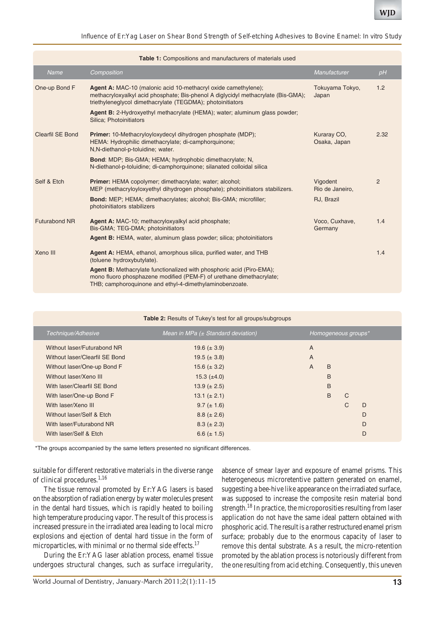| Table 1: Compositions and manufacturers of materials used |                                                                                                                                                                                                                   |                             |      |  |  |  |  |  |
|-----------------------------------------------------------|-------------------------------------------------------------------------------------------------------------------------------------------------------------------------------------------------------------------|-----------------------------|------|--|--|--|--|--|
| <b>Name</b>                                               | Composition                                                                                                                                                                                                       | Manufacturer                | pH   |  |  |  |  |  |
| One-up Bond F                                             | Agent A: MAC-10 (malonic acid 10-methacryl oxide camethylene);<br>methacryloxyalkyl acid phosphate; Bis-phenol A diglycidyl methacrylate (Bis-GMA);<br>triethyleneglycol dimethacrylate (TEGDMA); photoinitiators | Tokuyama Tokyo,<br>Japan    | 1.2  |  |  |  |  |  |
|                                                           | Agent B: 2-Hydroxyethyl methacrylate (HEMA); water; aluminum glass powder;<br>Silica; Photoinitiators                                                                                                             |                             |      |  |  |  |  |  |
| <b>Clearfil SE Bond</b>                                   | Primer: 10-Methacryloyloxydecyl dihydrogen phosphate (MDP);<br>HEMA: Hydrophilic dimethacrylate; di-camphorquinone;<br>N,N-diethanol-p-toluidine; water.                                                          | Kuraray CO,<br>Osaka, Japan | 2.32 |  |  |  |  |  |
|                                                           | <b>Bond:</b> MDP; Bis-GMA; HEMA; hydrophobic dimethacrylate; N,<br>N-diethanol-p-toluidine; di-camphorquinone; silanated colloidal silica                                                                         |                             |      |  |  |  |  |  |
| Self & Etch                                               | Primer: HEMA copolymer; dimethacrylate; water; alcohol;<br>MEP (methacryloyloxyethyl dihydrogen phosphate); photoinitiators stabilizers.                                                                          | Vigodent<br>Rio de Janeiro, | 2    |  |  |  |  |  |
|                                                           | Bond: MEP; HEMA; dimethacrylates; alcohol; Bis-GMA; microfiller;<br>photoinitiators stabilizers                                                                                                                   | RJ, Brazil                  |      |  |  |  |  |  |
| <b>Futurabond NR</b>                                      | Agent A: MAC-10; methacryloxyalkyl acid phosphate;<br>Bis-GMA; TEG-DMA; photoinitiators                                                                                                                           | Voco, Cuxhave,<br>Germany   | 1.4  |  |  |  |  |  |
|                                                           | Agent B: HEMA, water, aluminum glass powder; silica; photoinitiators                                                                                                                                              |                             |      |  |  |  |  |  |
| Xeno III                                                  | Agent A: HEMA, ethanol, amorphous silica, purified water, and THB<br>(toluene hydroxybutylate).                                                                                                                   |                             | 1.4  |  |  |  |  |  |
|                                                           | Agent B: Methacrylate functionalized with phosphoric acid (Piro-EMA);<br>mono fluoro phosphazene modified (PEM-F) of urethane dimethacrylate;<br>THB; camphoroquinone and ethyl-4-dimethylaminobenzoate.          |                             |      |  |  |  |  |  |

| Table 2: Results of Tukey's test for all groups/subgroups |                                        |   |                     |              |   |  |  |  |
|-----------------------------------------------------------|----------------------------------------|---|---------------------|--------------|---|--|--|--|
| Technique/Adhesive                                        | Mean in MPa $(\pm$ Standard deviation) |   | Homogeneous groups* |              |   |  |  |  |
| Without laser/Futurabond NR                               | 19.6 $(\pm 3.9)$                       | A |                     |              |   |  |  |  |
| Without laser/Clearfil SE Bond                            | 19.5 ( $\pm$ 3.8)                      | A |                     |              |   |  |  |  |
| Without laser/One-up Bond F                               | 15.6 ( $\pm$ 3.2)                      | A | B                   |              |   |  |  |  |
| Without laser/Xeno III                                    | 15.3 $(\pm 4.0)$                       |   | B                   |              |   |  |  |  |
| With laser/Clearfil SE Bond                               | 13.9 ( $\pm$ 2.5)                      |   | B                   |              |   |  |  |  |
| With laser/One-up Bond F                                  | 13.1 ( $\pm$ 2.1)                      |   | <sub>B</sub>        | $\mathsf{C}$ |   |  |  |  |
| With laser/Xeno III                                       | $9.7 (\pm 1.6)$                        |   |                     | $\mathsf{C}$ | D |  |  |  |
| Without laser/Self & Etch                                 | $8.8 (\pm 2.6)$                        |   |                     |              | D |  |  |  |
| With laser/Futurabond NR                                  | $8.3 (\pm 2.3)$                        |   |                     |              | D |  |  |  |
| With laser/Self & Etch                                    | 6.6 ( $\pm$ 1.5)                       |   |                     |              | D |  |  |  |

\*The groups accompanied by the same letters presented no significant differences.

suitable for different restorative materials in the diverse range of clinical procedures.<sup>1,16</sup>

The tissue removal promoted by Er:YAG lasers is based on the absorption of radiation energy by water molecules present in the dental hard tissues, which is rapidly heated to boiling high temperature producing vapor. The result of this process is increased pressure in the irradiated area leading to local micro explosions and ejection of dental hard tissue in the form of microparticles, with minimal or no thermal side effects.<sup>17</sup>

During the Er:YAG laser ablation process, enamel tissue undergoes structural changes, such as surface irregularity,

absence of smear layer and exposure of enamel prisms. This heterogeneous microretentive pattern generated on enamel, suggesting a bee-hive like appearance on the irradiated surface, was supposed to increase the composite resin material bond strength.<sup>18</sup> In practice, the microporosities resulting from laser application do not have the same ideal pattern obtained with phosphoric acid. The result is a rather restructured enamel prism surface; probably due to the enormous capacity of laser to remove this dental substrate. As a result, the micro-retention promoted by the ablation process is notoriously different from the one resulting from acid etching. Consequently, this uneven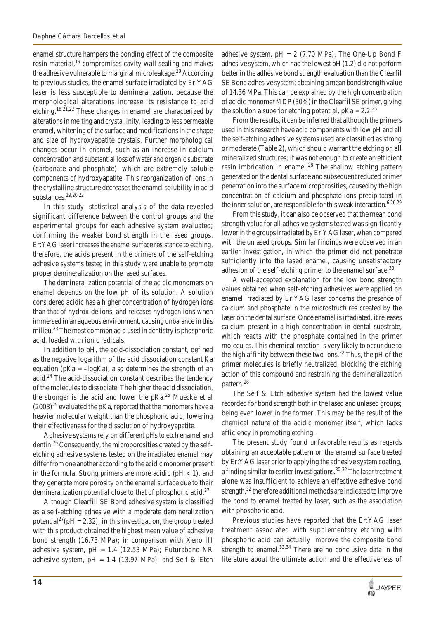enamel structure hampers the bonding effect of the composite resin material,<sup>19</sup> compromises cavity wall sealing and makes the adhesive vulnerable to marginal microleakage.<sup>20</sup> According to previous studies, the enamel surface irradiated by Er:YAG laser is less susceptible to demineralization, because the morphological alterations increase its resistance to acid etching.18,21,22 These changes in enamel are characterized by alterations in melting and crystallinity, leading to less permeable enamel, whitening of the surface and modifications in the shape and size of hydroxyapatite crystals. Further morphological changes occur in enamel, such as an increase in calcium concentration and substantial loss of water and organic substrate (carbonate and phosphate), which are extremely soluble components of hydroxyapatite. This reorganization of ions in the crystalline structure decreases the enamel solubility in acid substances.19,20,22

In this study, statistical analysis of the data revealed significant difference between the control groups and the experimental groups for each adhesive system evaluated; confirming the weaker bond strength in the lased groups. Er:YAG laser increases the enamel surface resistance to etching, therefore, the acids present in the primers of the self-etching adhesive systems tested in this study were unable to promote proper demineralization on the lased surfaces.

The demineralization potential of the acidic monomers on enamel depends on the low pH of its solution. A solution considered acidic has a higher concentration of hydrogen ions than that of hydroxide ions, and releases hydrogen ions when immersed in an aqueous environment, causing unbalance in this milieu.<sup>23</sup> The most common acid used in dentistry is phosphoric acid, loaded with ionic radicals.

In addition to pH, the acid-dissociation constant, defined as the negative logarithm of the acid dissociation constant Ka equation ( $pKa = -\log Ka$ ), also determines the strength of an  $\text{acid.}^{24}$  The acid-dissociation constant describes the tendency of the molecules to dissociate. The higher the acid dissociation, the stronger is the acid and lower the  $pKa.<sup>25</sup>$  Muecke et al  $(2003)^{25}$  evaluated the pKa, reported that the monomers have a heavier molecular weight than the phosphoric acid, lowering their effectiveness for the dissolution of hydroxyapatite.

Adhesive systems rely on different pHs to etch enamel and dentin.26 Consequently, the microporosities created by the selfetching adhesive systems tested on the irradiated enamel may differ from one another according to the acidic monomer present in the formula. Strong primers are more acidic ( $pH \le 1$ ), and they generate more porosity on the enamel surface due to their demineralization potential close to that of phosphoric acid.<sup>27</sup>

Although Clearfill SE Bond adhesive system is classified as a self-etching adhesive with a moderate demineralization potential<sup>27</sup>( $pH = 2.32$ ), in this investigation, the group treated with this product obtained the highest mean value of adhesive bond strength (16.73 MPa); in comparison with Xeno III adhesive system,  $pH = 1.4$  (12.53 MPa); Futurabond NR adhesive system,  $pH = 1.4$  (13.97 MPa); and Self & Etch adhesive system,  $pH = 2$  (7.70 MPa). The One-Up Bond F adhesive system, which had the lowest pH (1.2) did not perform better in the adhesive bond strength evaluation than the Clearfil SE Bond adhesive system; obtaining a mean bond strength value of 14.36 MPa. This can be explained by the high concentration of acidic monomer MDP (30%) in the Clearfil SE primer, giving the solution a superior etching potential,  $pKa = 2.2^{25}$ 

From the results, it can be inferred that although the primers used in this research have acid components with low pH and all the self-etching adhesive systems used are classified as strong or moderate (Table 2), which should warrant the etching on all mineralized structures; it was not enough to create an efficient resin imbrication in enamel. $^{28}$  The shallow etching pattern generated on the dental surface and subsequent reduced primer penetration into the surface microporosities, caused by the high concentration of calcium and phosphate ions precipitated in the inner solution, are responsible for this weak interaction.<sup>6,26,29</sup>

From this study, it can also be observed that the mean bond strength value for all adhesive systems tested was significantly lower in the groups irradiated by Er:YAG laser, when compared with the unlased groups. Similar findings were observed in an earlier investigation, in which the primer did not penetrate sufficiently into the lased enamel, causing unsatisfactory adhesion of the self-etching primer to the enamel surface.<sup>30</sup>

A well-accepted explanation for the low bond strength values obtained when self-etching adhesives were applied on enamel irradiated by Er:YAG laser concerns the presence of calcium and phosphate in the microstructures created by the laser on the dental surface. Once enamel is irradiated, it releases calcium present in a high concentration in dental substrate, which reacts with the phosphate contained in the primer molecules. This chemical reaction is very likely to occur due to the high affinity between these two ions.<sup>22</sup> Thus, the pH of the primer molecules is briefly neutralized, blocking the etching action of this compound and restraining the demineralization pattern.<sup>28</sup>

The Self & Etch adhesive system had the lowest value recorded for bond strength both in the lased and unlased groups; being even lower in the former. This may be the result of the chemical nature of the acidic monomer itself, which lacks efficiency in promoting etching.

The present study found unfavorable results as regards obtaining an acceptable pattern on the enamel surface treated by Er:YAG laser prior to applying the adhesive system coating, a finding similar to earlier investigations.<sup>30-32</sup> The laser treatment alone was insufficient to achieve an effective adhesive bond strength,<sup>32</sup> therefore additional methods are indicated to improve the bond to enamel treated by laser, such as the association with phosphoric acid.

Previous studies have reported that the Er:YAG laser treatment associated with supplementary etching with phosphoric acid can actually improve the composite bond strength to enamel. $33,34$  There are no conclusive data in the literature about the ultimate action and the effectiveness of